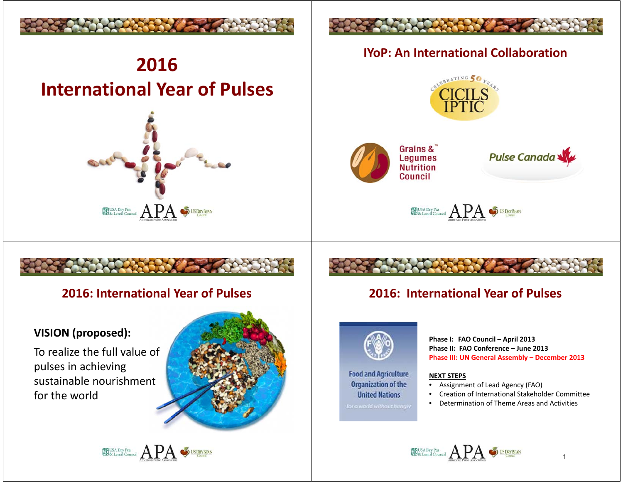

# **2016International Year of Pulses**





### **IYoP: An International Collaboration**





Pulse Canada

**ERUSA Dry Pea** APA SUSDRY BEAN

### **2016: International Year of Pulses**

#### **VISION (proposed):**

To realize the full value of pulses in achieving sustainable nourishment for the world





# **2016: International Year of Pulses**



**Food and Agriculture Organization of the United Nations** 

**Phase I: FAO Council – April 2013 Phase II: FAO Conference – June 2013Phase III: UN General Assembly – December 2013**

#### **NEXT STEPS**

- Assignment of Lead Agency (FAO)
- Creation of International Stakeholder Committee
- Determination of Theme Areas and Activities



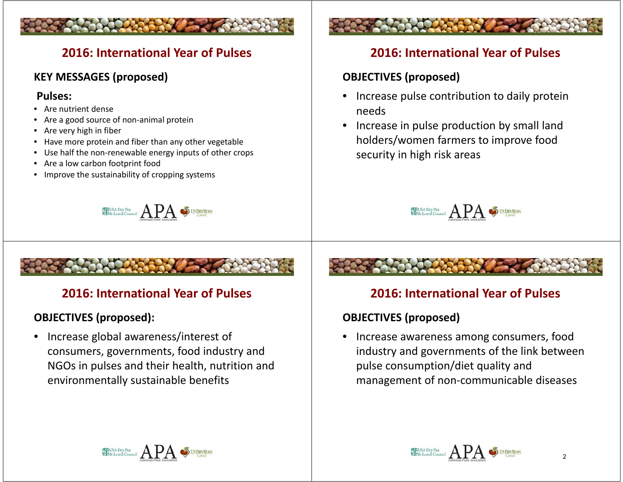### **2016: International Year of Pulses**

### **KEY MESSAGES (proposed)**

#### **Pulses:**

- Are nutrient dense
- Are a good source of non-animal protein
- Are very high in fiber
- Have more protein and fiber than any other vegetable
- Use half the non-renewable energy inputs of other crops
- Are a low carbon footprint food
- Improve the sustainability of cropping systems



# **2016: International Year of Pulses**

### **OBJECTIVES (proposed):**

• Increase global awareness/interest of consumers, governments, food industry and NGOs in pulses and their health, nutrition and environmentally sustainable benefits



### **2016: International Year of Pulses**

### **OBJECTIVES (proposed)**

- Increase pulse contribution to daily protein needs
- Increase in pulse production by small land holders/women farmers to improve food security in high risk areas



# **2016: International Year of Pulses**

### **OBJECTIVES (proposed)**

• Increase awareness among consumers, food industry and governments of the link between pulse consumption/diet quality and management of non-communicable diseases

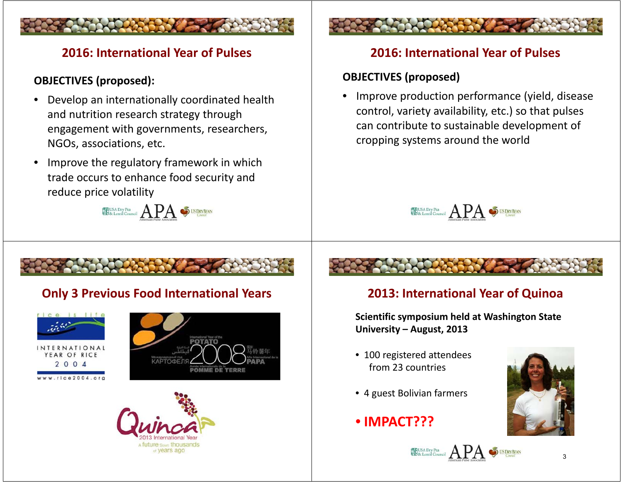# **2016: International Year of Pulses**

### **OBJECTIVES (proposed):**

- • Develop an internationally coordinated health and nutrition research strategy through engagement with governments, researchers, NGOs, associations, etc.
- • Improve the regulatory framework in which trade occurs to enhance food security and reduce price volatility

EUSA Dry Ra APA SUSDRY BEAN

# **Only 3 Previous Food International Years 2013: International Year of Quinoa**



R OF RICE  $2004$ 







### **2016: International Year of Pulses**

### **OBJECTIVES (proposed)**

• Improve production performance (yield, disease control, variety availability, etc.) so that pulses can contribute to sustainable development of cropping systems around the world



**Scientific symposium held at Washington State University – August, 2013**

- 100 registered attendees from 23 countries
- 4 guest Bolivian farmers
- **IMPACT???**



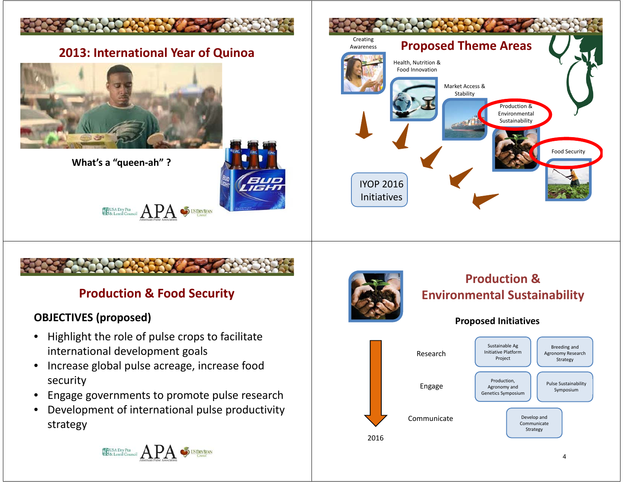

# **Production & Food Security**

### **OBJECTIVES (proposed)**

- • Highlight the role of pulse crops to facilitate international development goals
- $\bullet$  Increase global pulse acreage, increase food security
- •Engage governments to promote pulse research
- $\bullet$  Development of international pulse productivity strategy



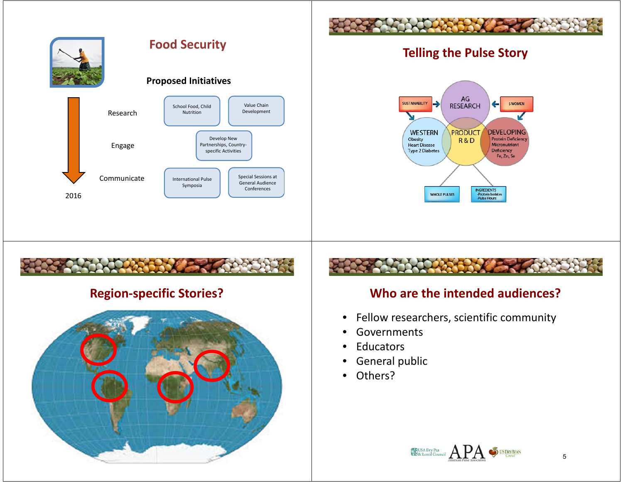

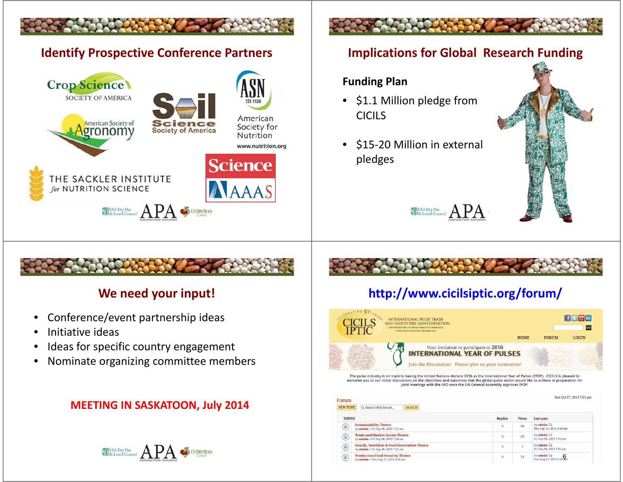